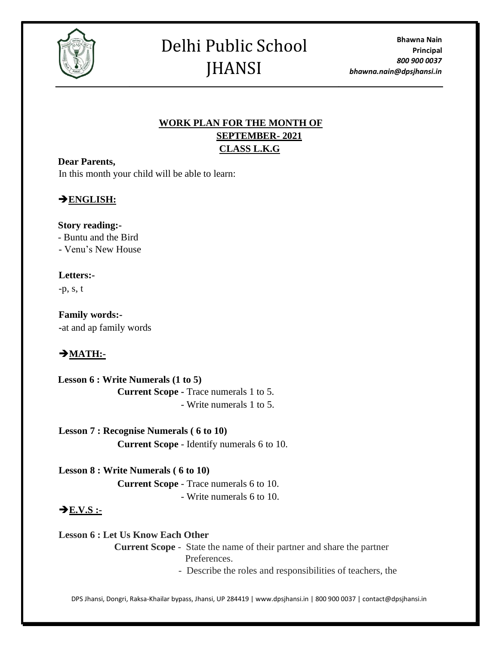

### **WORK PLAN FOR THE MONTH OF SEPTEMBER- 2021 CLASS L.K.G**

**Dear Parents,**  In this month your child will be able to learn:

### ➔**ENGLISH:**

**Story reading:-**

- Buntu and the Bird

- Venu's New House

### **Letters:-**

-p, s, t

**Family words:- -**at and ap family words

### ➔**MATH:-**

**Lesson 6 : Write Numerals (1 to 5) Current Scope -** Trace numerals 1 to 5. - Write numerals 1 to 5.

**Lesson 7 : Recognise Numerals ( 6 to 10) Current Scope** - Identify numerals 6 to 10.

**Lesson 8 : Write Numerals ( 6 to 10) Current Scope** - Trace numerals 6 to 10. - Write numerals 6 to 10.

### ➔**E.V.S :-**

**Lesson 6 : Let Us Know Each Other Current Scope** - State the name of their partner and share the partner Preferences.

- Describe the roles and responsibilities of teachers, the

DPS Jhansi, Dongri, Raksa-Khailar bypass, Jhansi, UP 284419 | www.dpsjhansi.in | 800 900 0037 | contact@dpsjhansi.in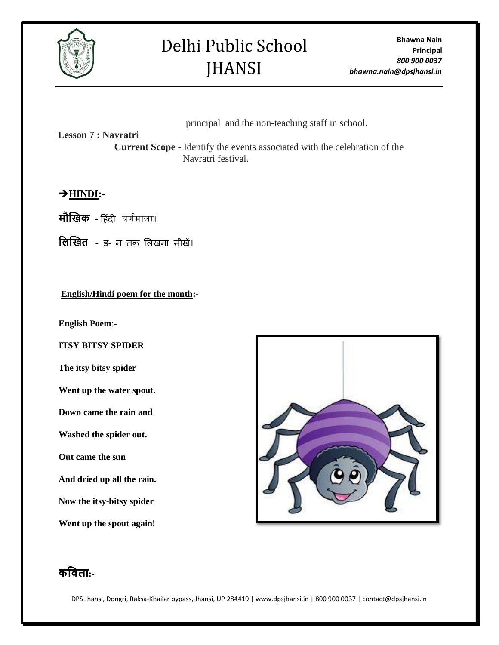

**Bhawna Nain Principal** *800 900 0037 bhawna.nain@dpsjhansi.in*

principal and the non-teaching staff in school.

**Lesson 7 : Navratri** 

 **Current Scope** - Identify the events associated with the celebration of the Navratri festival.

➔**HINDI:-** 

**मौखिक** - हिंदी वर्णमाला।

**लिखित -** ड- न तक लिखना सीखें।

**English/Hindi poem for the month:-**

**English Poem**:-

### **ITSY BITSY SPIDER**

**The itsy bitsy spider**

**Went up the water spout.** 

**Down came the rain and**

**Washed the spider out.** 

**Out came the sun**

**And dried up all the rain.** 

**Now the itsy-bitsy spider**

**Went up the spout again!** 



### **कविता:-**

DPS Jhansi, Dongri, Raksa-Khailar bypass, Jhansi, UP 284419 | www.dpsjhansi.in | 800 900 0037 | contact@dpsjhansi.in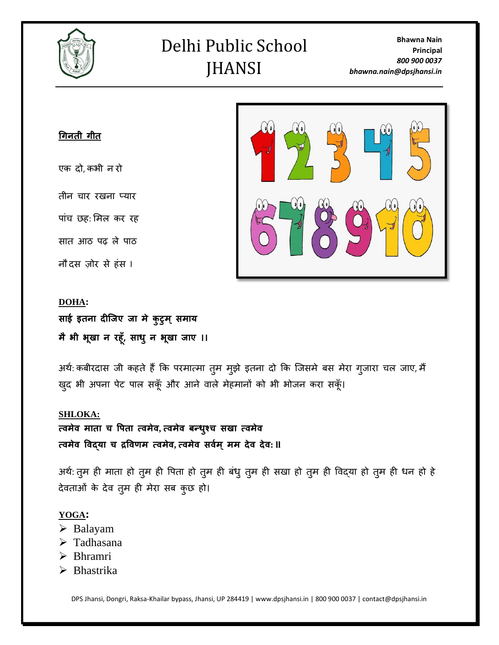

**Bhawna Nain Principal** *800 900 0037 bhawna.nain@dpsjhansi.in*

**गिनती िीत**

एक दो, कभी न रो

तीन चार रखना प्यार

पांच छह: मिल कर रह

सात आठ पढ़ ले पाठ

नौ दस जोर से िंस l



### **DOHA:**

**साई इतना दीजिए िा मे कुटुम्समाय मैभी भूखा न रहूूँ, साधुन भूखा िाए ।।**

अर्थ: कबीरदास जी कहते हैं कि परमात्मा तुम मुझे इतना दो कि जिसमे बस मेरा गुजारा चल जाए, मैं खुद भी अपना पेट पाल सकूँ और आने वाले मेहमानों को भी भोजन करा सकूँ।

### **SHLOKA:**

**त्वमेव माता च पिता त्वमेव, त्वमेव बन्धुश्च सखा त्वमेव त्वमेव पवद्या च द्रपवणम त्वमेव, त्वमेव सववम ्मम देव देव: ll** 

अर्थ: तुम ही माता हो तुम ही पिता हो तुम ही बंधु तुम ही सखा हो तुम ही विद्या हो तुम ही धन हो हे देवताओं के देव तुम ही मेरा सब कुछ हो।

### **YOGA:**

- ➢ Balayam
- ➢ Tadhasana
- ➢ Bhramri
- ➢ Bhastrika

DPS Jhansi, Dongri, Raksa-Khailar bypass, Jhansi, UP 284419 | www.dpsjhansi.in | 800 900 0037 | contact@dpsjhansi.in